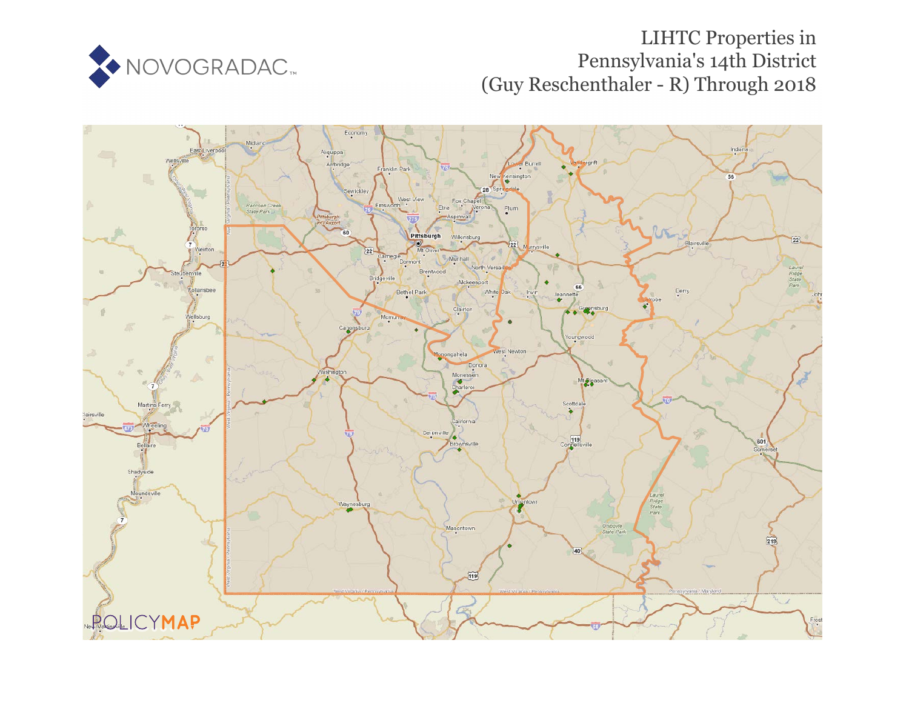

## LIHTC Properties in Pennsylvania's 14th District (Guy Reschenthaler - R) Through 2018

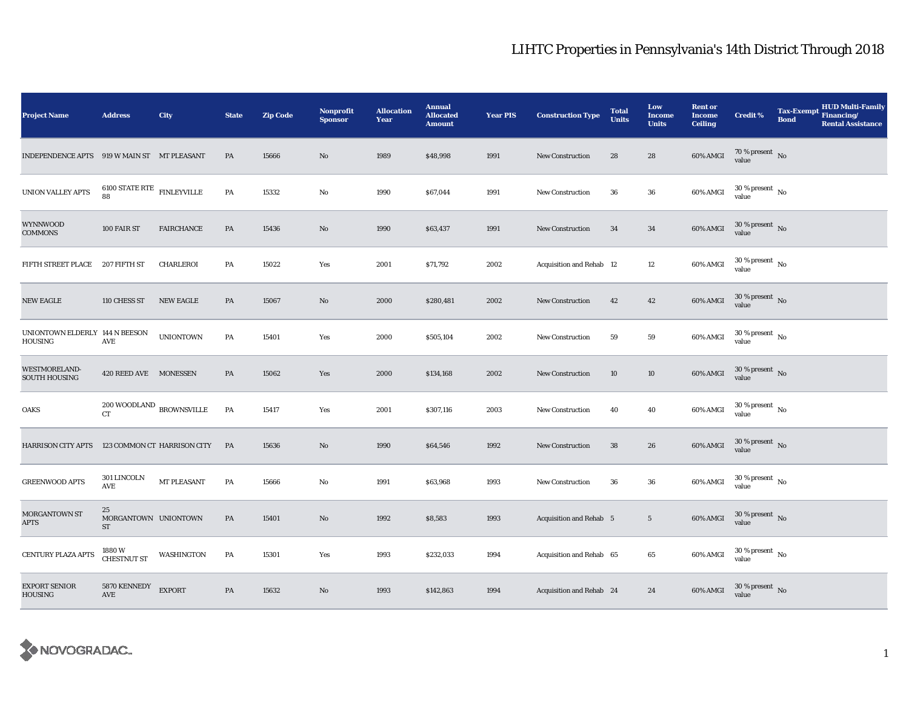## LIHTC Properties in Pennsylvania's 14th District Through 2018

| <b>Project Name</b>                         | <b>Address</b>                           | City                        | <b>State</b>  | <b>Zip Code</b> | Nonprofit<br><b>Sponsor</b> | <b>Allocation</b><br>Year | <b>Annual</b><br><b>Allocated</b><br><b>Amount</b> | <b>Year PIS</b> | <b>Construction Type</b>       | <b>Total</b><br><b>Units</b> | Low<br><b>Income</b><br><b>Units</b> | <b>Rent or</b><br><b>Income</b><br><b>Ceiling</b> | <b>Credit %</b>                        | <b>Tax-Exempt</b><br><b>Bond</b> | <b>HUD Multi-Family</b><br>Financing/<br><b>Rental Assistance</b> |
|---------------------------------------------|------------------------------------------|-----------------------------|---------------|-----------------|-----------------------------|---------------------------|----------------------------------------------------|-----------------|--------------------------------|------------------------------|--------------------------------------|---------------------------------------------------|----------------------------------------|----------------------------------|-------------------------------------------------------------------|
| INDEPENDENCE APTS 919 W MAIN ST MT PLEASANT |                                          |                             | PA            | 15666           | No                          | 1989                      | \$48,998                                           | 1991            | New Construction               | 28                           | 28                                   | 60% AMGI                                          | $70\,\%$ present $\,$ No value         |                                  |                                                                   |
| <b>UNION VALLEY APTS</b>                    | $6100$ STATE RTE $\,$ FINLEYVILLE<br>88  |                             | PA            | 15332           | No                          | 1990                      | \$67,044                                           | 1991            | <b>New Construction</b>        | 36                           | 36                                   | 60% AMGI                                          | $30\,\%$ present $\,$ No $\,$<br>value |                                  |                                                                   |
| WYNNWOOD<br><b>COMMONS</b>                  | 100 FAIR ST                              | <b>FAIRCHANCE</b>           | PA            | 15436           | No                          | 1990                      | \$63,437                                           | 1991            | New Construction               | 34                           | 34                                   | 60% AMGI                                          | $30$ % present $\,$ No $\,$<br>value   |                                  |                                                                   |
| FIFTH STREET PLACE                          | 207 FIFTH ST                             | CHARLEROI                   | PA            | 15022           | Yes                         | 2001                      | \$71,792                                           | 2002            | Acquisition and Rehab 12       |                              | 12                                   | 60% AMGI                                          | $30$ % present $\,$ No $\,$<br>value   |                                  |                                                                   |
| <b>NEW EAGLE</b>                            | 110 CHESS ST                             | <b>NEW EAGLE</b>            | $\mathbf{PA}$ | 15067           | No                          | 2000                      | \$280,481                                          | 2002            | <b>New Construction</b>        | 42                           | $42\,$                               | 60% AMGI                                          | $30$ % present $\,$ No $\,$<br>value   |                                  |                                                                   |
| UNIONTOWN ELDERLY 144 N BEESON<br>HOUSING   | AVE                                      | <b>UNIONTOWN</b>            | PA            | 15401           | Yes                         | 2000                      | \$505,104                                          | 2002            | New Construction               | 59                           | 59                                   | 60% AMGI                                          | $30$ % present $_{\rm{No}}$            |                                  |                                                                   |
| WESTMORELAND-<br><b>SOUTH HOUSING</b>       | 420 REED AVE MONESSEN                    |                             | PA            | 15062           | Yes                         | 2000                      | \$134,168                                          | 2002            | <b>New Construction</b>        | 10                           | $10\,$                               | 60% AMGI                                          | $30\,\%$ present $\,$ No value         |                                  |                                                                   |
| OAKS                                        | $200\,$ WOODLAND $\,$ BROWNSVILLE CT     |                             | PA            | 15417           | Yes                         | 2001                      | \$307,116                                          | 2003            | <b>New Construction</b>        | 40                           | 40                                   | 60% AMGI                                          | $30\,\%$ present $\,$ No $\,$<br>value |                                  |                                                                   |
| <b>HARRISON CITY APTS</b>                   |                                          | 123 COMMON CT HARRISON CITY | PA            | 15636           | No                          | 1990                      | \$64,546                                           | 1992            | New Construction               | 38                           | 26                                   | 60% AMGI                                          | $30$ % present $\,$ No $\,$<br>value   |                                  |                                                                   |
| <b>GREENWOOD APTS</b>                       | 301 LINCOLN<br>AVE                       | MT PLEASANT                 | PA            | 15666           | No                          | 1991                      | \$63,968                                           | 1993            | <b>New Construction</b>        | 36                           | 36                                   | 60% AMGI                                          | $30$ % present $\,$ No $\,$<br>value   |                                  |                                                                   |
| <b>MORGANTOWN ST</b><br>APTS                | 25<br>MORGANTOWN UNIONTOWN<br>${\rm ST}$ |                             | PA            | 15401           | No                          | 1992                      | \$8,583                                            | 1993            | <b>Acquisition and Rehab 5</b> |                              | $5\phantom{.0}$                      | 60% AMGI                                          | $30$ % present $\,$ No $\,$<br>value   |                                  |                                                                   |
| CENTURY PLAZA APTS                          | 1880W<br><b>CHESTNUT ST</b>              | WASHINGTON                  | PA            | 15301           | Yes                         | 1993                      | \$232,033                                          | 1994            | Acquisition and Rehab 65       |                              | 65                                   | 60% AMGI                                          | $30$ % present $\,$ No value           |                                  |                                                                   |
| <b>EXPORT SENIOR</b><br><b>HOUSING</b>      | 5870 KENNEDY<br>AVE                      | <b>EXPORT</b>               | PA            | 15632           | No                          | 1993                      | \$142,863                                          | 1994            | Acquisition and Rehab 24       |                              | 24                                   | 60% AMGI                                          | $30\,\%$ present $\,$ No value         |                                  |                                                                   |

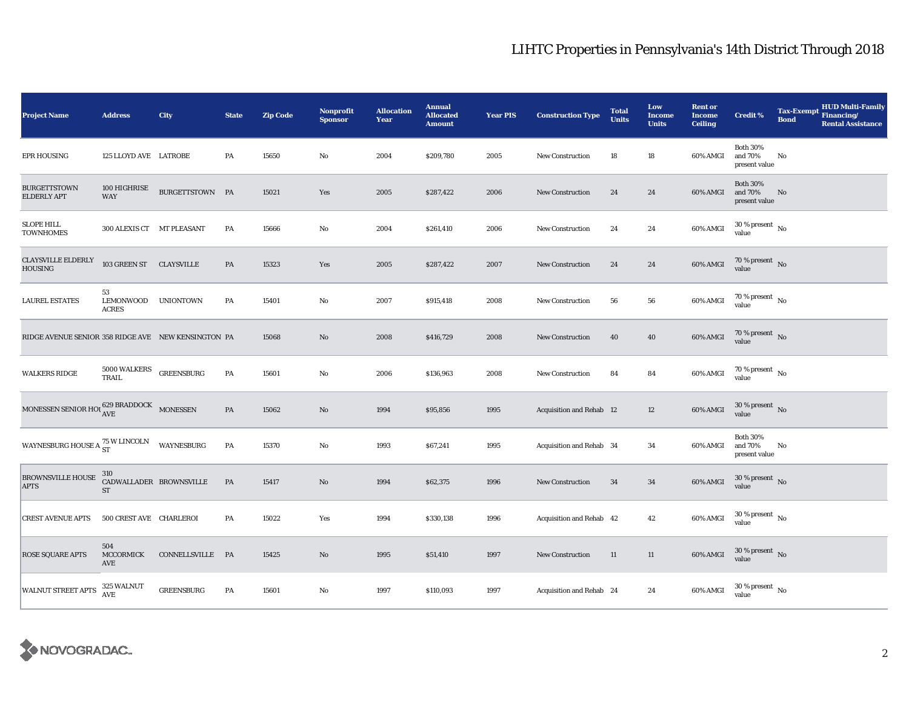## LIHTC Properties in Pennsylvania's 14th District Through 2018

| <b>Project Name</b>                                 | <b>Address</b>                  | City                    | <b>State</b>  | <b>Zip Code</b> | Nonprofit<br><b>Sponsor</b> | <b>Allocation</b><br>Year | <b>Annual</b><br><b>Allocated</b><br><b>Amount</b> | <b>Year PIS</b> | <b>Construction Type</b>        | <b>Total</b><br><b>Units</b> | Low<br><b>Income</b><br><b>Units</b> | <b>Rent or</b><br><b>Income</b><br><b>Ceiling</b> | <b>Credit %</b>                             | <b>HUD Multi-Family</b><br>Tax-Exempt Financing/<br><b>Bond</b><br><b>Rental Assistance</b> |
|-----------------------------------------------------|---------------------------------|-------------------------|---------------|-----------------|-----------------------------|---------------------------|----------------------------------------------------|-----------------|---------------------------------|------------------------------|--------------------------------------|---------------------------------------------------|---------------------------------------------|---------------------------------------------------------------------------------------------|
| <b>EPR HOUSING</b>                                  | 125 LLOYD AVE LATROBE           |                         | PA            | 15650           | $\mathbf{No}$               | 2004                      | \$209,780                                          | 2005            | <b>New Construction</b>         | 18                           | 18                                   | 60% AMGI                                          | <b>Both 30%</b><br>and 70%<br>present value | No                                                                                          |
| <b>BURGETTSTOWN</b><br>ELDERLY APT                  | 100 HIGHRISE<br>WAY             | BURGETTSTOWN PA         |               | 15021           | Yes                         | 2005                      | \$287,422                                          | 2006            | <b>New Construction</b>         | 24                           | 24                                   | 60% AMGI                                          | <b>Both 30%</b><br>and 70%<br>present value | No                                                                                          |
| <b>SLOPE HILL</b><br><b>TOWNHOMES</b>               | 300 ALEXIS CT MT PLEASANT       |                         | PA            | 15666           | No                          | 2004                      | \$261,410                                          | 2006            | New Construction                | 24                           | 24                                   | 60% AMGI                                          | $30$ % present $\,$ No $\,$<br>value        |                                                                                             |
| <b>CLAYSVILLE ELDERLY</b><br><b>HOUSING</b>         | 103 GREEN ST CLAYSVILLE         |                         | PA            | 15323           | Yes                         | 2005                      | \$287,422                                          | 2007            | <b>New Construction</b>         | 24                           | 24                                   | 60% AMGI                                          | $70\,\%$ present $_{\rm{No}}$               |                                                                                             |
| <b>LAUREL ESTATES</b>                               | 53<br>LEMONWOOD<br><b>ACRES</b> | UNIONTOWN               | PA            | 15401           | $\mathbf{No}$               | 2007                      | \$915,418                                          | 2008            | <b>New Construction</b>         | 56                           | 56                                   | 60% AMGI                                          | $70\,\%$ present $\,$ No value              |                                                                                             |
| RIDGE AVENUE SENIOR 358 RIDGE AVE NEW KENSINGTON PA |                                 |                         |               | 15068           | No                          | 2008                      | \$416,729                                          | 2008            | <b>New Construction</b>         | 40                           | 40                                   | 60% AMGI                                          | $70\,\%$ present $\,$ No value              |                                                                                             |
| <b>WALKERS RIDGE</b>                                | 5000 WALKERS<br>TRAIL           | GREENSBURG              | PA            | 15601           | $\mathbf{No}$               | 2006                      | \$136,963                                          | 2008            | <b>New Construction</b>         | 84                           | 84                                   | 60% AMGI                                          | $70\,\%$ present $_{\rm{No}}$               |                                                                                             |
| MONESSEN SENIOR HOL $^{629}_{\mbox{AVE}}$ MONESSEN  |                                 |                         | $\mathbf{PA}$ | 15062           | $\mathbf{N}\mathbf{o}$      | 1994                      | \$95,856                                           | 1995            | <b>Acquisition and Rehab 12</b> |                              | 12                                   | 60% AMGI                                          | $30\,\%$ present $\,$ No value              |                                                                                             |
| WAYNESBURG HOUSE A $_{\rm ST}^{75\rm\,W\,LINCOLN}$  |                                 | WAYNESBURG              | PA            | 15370           | $\mathbf{No}$               | 1993                      | \$67,241                                           | 1995            | Acquisition and Rehab 34        |                              | 34                                   | 60% AMGI                                          | <b>Both 30%</b><br>and 70%<br>present value | No                                                                                          |
| <b>BROWNSVILLE HOUSE</b><br><b>APTS</b>             | 310<br><b>ST</b>                | CADWALLADER BROWNSVILLE | PA            | 15417           | No                          | 1994                      | \$62,375                                           | 1996            | New Construction                | 34                           | 34                                   | 60% AMGI                                          | $30\,\%$ present $\,$ No value              |                                                                                             |
| <b>CREST AVENUE APTS</b>                            | 500 CREST AVE CHARLEROI         |                         | PA            | 15022           | Yes                         | 1994                      | \$330,138                                          | 1996            | Acquisition and Rehab 42        |                              | 42                                   | 60% AMGI                                          | $30$ % present $\,$ No $\,$<br>value        |                                                                                             |
| <b>ROSE SQUARE APTS</b>                             | 504<br>MCCORMICK<br>AVE         | CONNELLSVILLE PA        |               | 15425           | $\mathbf{No}$               | 1995                      | \$51,410                                           | 1997            | New Construction                | 11                           | 11                                   | 60% AMGI                                          | $30\,\%$ present $\,$ No value              |                                                                                             |
| <b>WALNUT STREET APTS</b>                           | 325 WALNUT<br><b>AVE</b>        | <b>GREENSBURG</b>       | PA            | 15601           | $\mathbf{No}$               | 1997                      | \$110,093                                          | 1997            | Acquisition and Rehab 24        |                              | 24                                   | 60% AMGI                                          | $30\,\%$ present $\,$ No value              |                                                                                             |

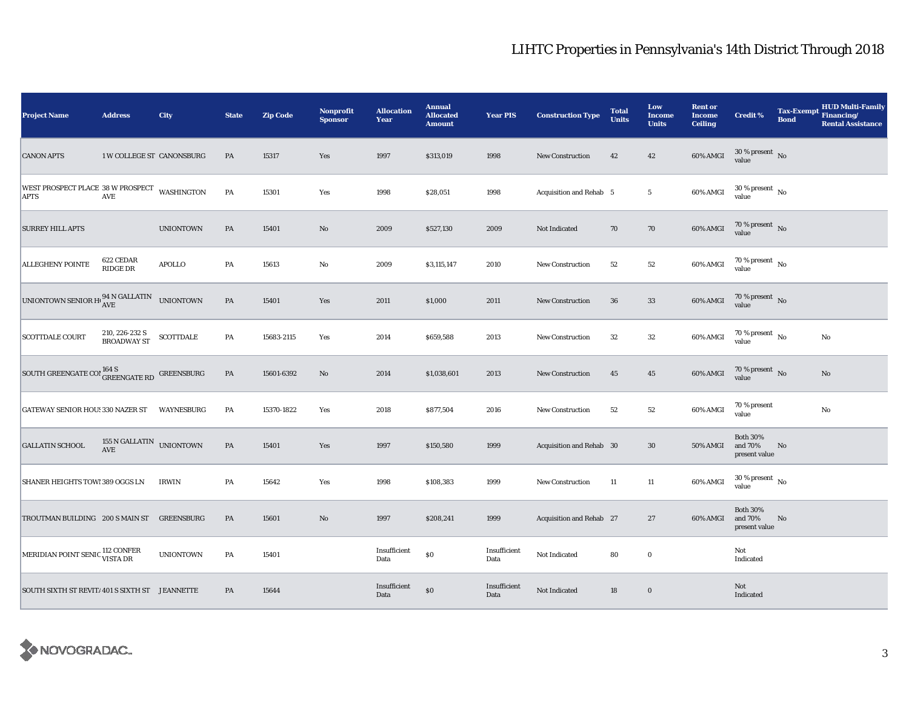## LIHTC Properties in Pennsylvania's 14th District Through 2018

| <b>Project Name</b>                                                                                                                                                                   | <b>Address</b>                                             | City             | <b>State</b>  | <b>Zip Code</b> | Nonprofit<br><b>Sponsor</b> | <b>Allocation</b><br>Year | <b>Annual</b><br><b>Allocated</b><br><b>Amount</b> | <b>Year PIS</b>      | <b>Construction Type</b> | <b>Total</b><br><b>Units</b> | Low<br>Income<br><b>Units</b> | <b>Rent or</b><br><b>Income</b><br><b>Ceiling</b> | Credit %                                    | <b>Tax-Exempt</b><br><b>Bond</b> | <b>HUD Multi-Family</b><br>Financing/<br><b>Rental Assistance</b> |
|---------------------------------------------------------------------------------------------------------------------------------------------------------------------------------------|------------------------------------------------------------|------------------|---------------|-----------------|-----------------------------|---------------------------|----------------------------------------------------|----------------------|--------------------------|------------------------------|-------------------------------|---------------------------------------------------|---------------------------------------------|----------------------------------|-------------------------------------------------------------------|
| <b>CANON APTS</b>                                                                                                                                                                     | 1 W COLLEGE ST CANONSBURG                                  |                  | PA            | 15317           | Yes                         | 1997                      | \$313,019                                          | 1998                 | <b>New Construction</b>  | 42                           | 42                            | 60% AMGI                                          | $30\,\%$ present $\,$ No value              |                                  |                                                                   |
| WEST PROSPECT PLACE $38$ W PROSPECT $\,$ WASHINGTON AVE $\,$                                                                                                                          |                                                            |                  | PA            | 15301           | Yes                         | 1998                      | \$28,051                                           | 1998                 | Acquisition and Rehab 5  |                              | $5\phantom{.0}$               | 60% AMGI                                          | $30\,\%$ present $\,$ No $\,$<br>value      |                                  |                                                                   |
| <b>SURREY HILL APTS</b>                                                                                                                                                               |                                                            | <b>UNIONTOWN</b> | PA            | 15401           | $\rm No$                    | 2009                      | \$527,130                                          | 2009                 | Not Indicated            | 70                           | 70                            | 60% AMGI                                          | $70\,\%$ present $\,$ No value              |                                  |                                                                   |
| <b>ALLEGHENY POINTE</b>                                                                                                                                                               | 622 CEDAR<br><b>RIDGE DR</b>                               | <b>APOLLO</b>    | PA            | 15613           | No                          | 2009                      | \$3,115,147                                        | 2010                 | New Construction         | 52                           | 52                            | 60% AMGI                                          | 70 % present $\hbox{~No}$<br>value          |                                  |                                                                   |
| UNIONTOWN SENIOR $H^{1}_{\mathbf{AVE}}$ ave                                                                                                                                           |                                                            | <b>UNIONTOWN</b> | $\mathbf{PA}$ | 15401           | Yes                         | 2011                      | \$1,000                                            | 2011                 | <b>New Construction</b>  | 36                           | $33\,$                        | 60% AMGI                                          | $70\,\%$ present $\,$ No value              |                                  |                                                                   |
| <b>SCOTTDALE COURT</b>                                                                                                                                                                | 210, 226-232 S<br><b>BROADWAY ST</b>                       | <b>SCOTTDALE</b> | PA            | 15683-2115      | Yes                         | 2014                      | \$659,588                                          | 2013                 | <b>New Construction</b>  | 32                           | 32                            | 60% AMGI                                          | $70\,\%$ present $\,$ No value              |                                  | No                                                                |
| $\begin{array}{ l } \hbox{SOUTH} \\\hbox{GREENGATE CO} \end{array} \begin{array}{l} 164\, \hbox{S} \\ \hbox{GREENGATE RD} \end{array} \begin{array}{l} \hbox{GREENSBURG} \end{array}$ |                                                            |                  | $\mathbf{PA}$ | 15601-6392      | No                          | 2014                      | \$1,038,601                                        | 2013                 | <b>New Construction</b>  | 45                           | $45\,$                        | 60% AMGI                                          | $70\,\%$ present $\,$ No value              |                                  | No                                                                |
| <b>GATEWAY SENIOR HOU! 330 NAZER ST</b>                                                                                                                                               |                                                            | WAYNESBURG       | PA            | 15370-1822      | Yes                         | 2018                      | \$877,504                                          | 2016                 | New Construction         | 52                           | 52                            | 60% AMGI                                          | 70 % present<br>value                       |                                  | $\rm No$                                                          |
| <b>GALLATIN SCHOOL</b>                                                                                                                                                                | 155 N GALLATIN $\_$ UNIONTOWN $\_$<br>$\operatorname{AVE}$ |                  | $\mathbf{PA}$ | 15401           | Yes                         | 1997                      | \$150,580                                          | 1999                 | Acquisition and Rehab 30 |                              | 30                            | <b>50% AMGI</b>                                   | <b>Both 30%</b><br>and 70%<br>present value | No                               |                                                                   |
| SHANER HEIGHTS TOWI 389 OGGS LN                                                                                                                                                       |                                                            | <b>IRWIN</b>     | PA            | 15642           | Yes                         | 1998                      | \$108,383                                          | 1999                 | <b>New Construction</b>  | 11                           | 11                            | 60% AMGI                                          | $30$ % present $\,$ No $\,$<br>value        |                                  |                                                                   |
| TROUTMAN BUILDING 200 S MAIN ST                                                                                                                                                       |                                                            | GREENSBURG       | PA            | 15601           | $\rm No$                    | 1997                      | \$208,241                                          | 1999                 | Acquisition and Rehab 27 |                              | 27                            | 60% AMGI                                          | <b>Both 30%</b><br>and 70%<br>present value | No                               |                                                                   |
| MERIDIAN POINT SENIC <sup>112</sup> CONFER<br>VISTA DR                                                                                                                                |                                                            | <b>UNIONTOWN</b> | PA            | 15401           |                             | Insufficient<br>Data      | $\$0$                                              | Insufficient<br>Data | Not Indicated            | 80                           | $\bf{0}$                      |                                                   | Not<br>Indicated                            |                                  |                                                                   |
| SOUTH SIXTH ST REVIT/ 401 S SIXTH ST JEANNETTE                                                                                                                                        |                                                            |                  | PA            | 15644           |                             | Insufficient<br>Data      | $\$0$                                              | Insufficient<br>Data | Not Indicated            | 18                           | $\bf{0}$                      |                                                   | Not<br>Indicated                            |                                  |                                                                   |